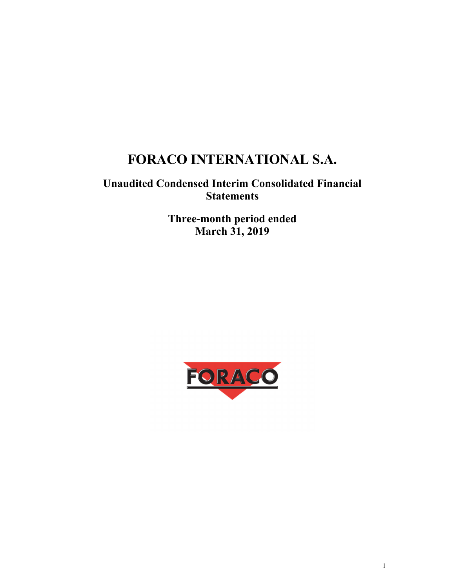# **FORACO INTERNATIONAL S.A.**

## **Unaudited Condensed Interim Consolidated Financial Statements**

**Three-month period ended March 31, 2019** 

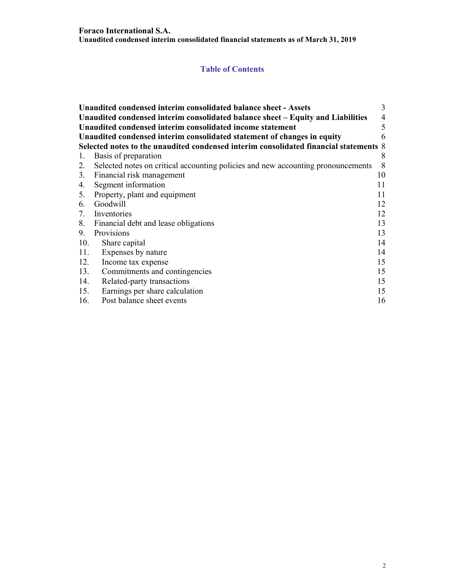## **Table of Contents**

|                                                                              | Unaudited condensed interim consolidated balance sheet - Assets                       | 3  |  |  |  |  |
|------------------------------------------------------------------------------|---------------------------------------------------------------------------------------|----|--|--|--|--|
|                                                                              | Unaudited condensed interim consolidated balance sheet – Equity and Liabilities       | 4  |  |  |  |  |
|                                                                              | Unaudited condensed interim consolidated income statement                             | 5  |  |  |  |  |
| Unaudited condensed interim consolidated statement of changes in equity<br>6 |                                                                                       |    |  |  |  |  |
|                                                                              | Selected notes to the unaudited condensed interim consolidated financial statements 8 |    |  |  |  |  |
| 1.                                                                           | Basis of preparation                                                                  | 8  |  |  |  |  |
| 2.                                                                           | Selected notes on critical accounting policies and new accounting pronouncements      | 8  |  |  |  |  |
|                                                                              | 3. Financial risk management                                                          | 10 |  |  |  |  |
| 4.                                                                           | Segment information                                                                   | 11 |  |  |  |  |
|                                                                              | 5. Property, plant and equipment                                                      | 11 |  |  |  |  |
| 6.                                                                           | Goodwill                                                                              | 12 |  |  |  |  |
|                                                                              | 7. Inventories                                                                        | 12 |  |  |  |  |
|                                                                              | 8. Financial debt and lease obligations                                               | 13 |  |  |  |  |
| 9.                                                                           | Provisions                                                                            | 13 |  |  |  |  |
| 10.                                                                          | Share capital                                                                         | 14 |  |  |  |  |
| 11.                                                                          | Expenses by nature                                                                    | 14 |  |  |  |  |
| 12.                                                                          | Income tax expense                                                                    | 15 |  |  |  |  |
| 13.                                                                          | Commitments and contingencies                                                         | 15 |  |  |  |  |
| 14.                                                                          | Related-party transactions                                                            | 15 |  |  |  |  |
| 15.                                                                          | Earnings per share calculation                                                        | 15 |  |  |  |  |
| 16.                                                                          | Post balance sheet events                                                             | 16 |  |  |  |  |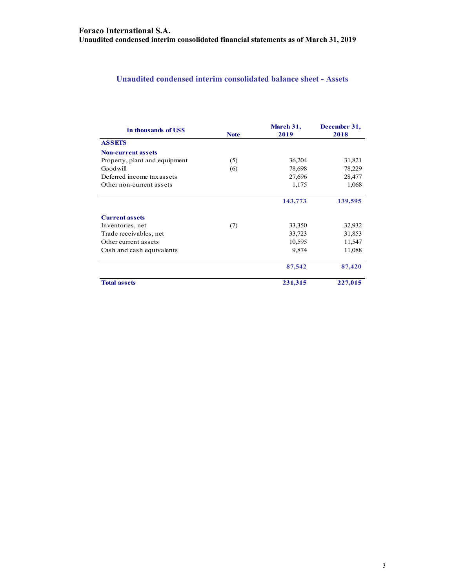## **Unaudited condensed interim consolidated balance sheet - Assets**

| in thousands of US\$          | March 31,   |         | December 31, |
|-------------------------------|-------------|---------|--------------|
|                               | <b>Note</b> | 2019    | 2018         |
| <b>ASSETS</b>                 |             |         |              |
| <b>Non-current assets</b>     |             |         |              |
| Property, plant and equipment | (5)         | 36,204  | 31,821       |
| Goodwill                      | (6)         | 78,698  | 78,229       |
| Deferred income tax assets    |             | 27,696  | 28,477       |
| Other non-current assets      |             | 1,175   | 1,068        |
|                               |             | 143,773 | 139,595      |
| <b>Current assets</b>         |             |         |              |
| Inventories, net              | (7)         | 33,350  | 32,932       |
| Trade receivables, net        |             | 33,723  | 31,853       |
| Other current assets          |             | 10,595  | 11,547       |
| Cash and cash equivalents     |             | 9,874   | 11,088       |
|                               |             | 87,542  | 87,420       |
| <b>Total assets</b>           |             | 231,315 | 227,015      |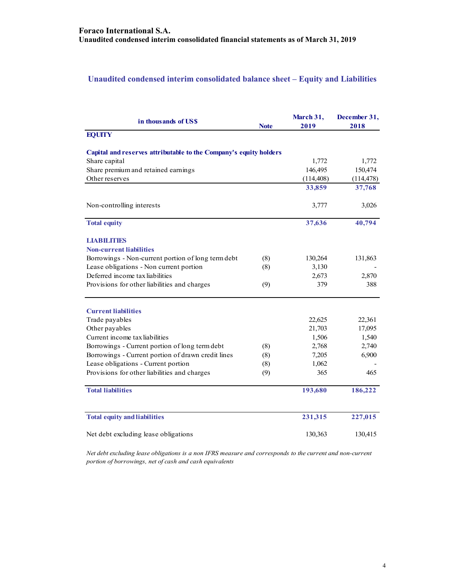## **Unaudited condensed interim consolidated balance sheet – Equity and Liabilities**

| in thousands of US\$                                              | <b>Note</b> | March 31,<br>2019 | December 31,<br>2018 |
|-------------------------------------------------------------------|-------------|-------------------|----------------------|
| <b>EQUITY</b>                                                     |             |                   |                      |
| Capital and reserves attributable to the Company's equity holders |             |                   |                      |
| Share capital                                                     |             | 1,772             | 1,772                |
| Share premium and retained earnings                               |             | 146,495           | 150,474              |
| Other reserves                                                    |             | (114, 408)        | (114, 478)           |
|                                                                   |             | 33,859            | 37,768               |
| Non-controlling interests                                         |             | 3,777             | 3,026                |
| <b>Total equity</b>                                               |             | 37,636            | 40,794               |
| <b>LIABILITIES</b>                                                |             |                   |                      |
| <b>Non-current liabilities</b>                                    |             |                   |                      |
| Borrowings - Non-current portion of long term debt                | (8)         | 130,264           | 131,863              |
| Lease obligations - Non current portion                           | (8)         | 3,130             |                      |
| Deferred income tax liabilities                                   |             | 2,673             | 2,870                |
| Provisions for other liabilities and charges                      | (9)         | 379               | 388                  |
| <b>Current liabilities</b>                                        |             |                   |                      |
| Trade payables                                                    |             | 22,625            | 22,361               |
| Other payables                                                    |             | 21,703            | 17,095               |
| Current income tax liabilities                                    |             | 1,506             | 1,540                |
| Borrowings - Current portion of long term debt                    | (8)         | 2,768             | 2,740                |
| Borrowings - Current portion of drawn credit lines                | (8)         | 7,205             | 6,900                |
| Lease obligations - Current portion                               | (8)         | 1,062             |                      |
| Provisions for other liabilities and charges                      | (9)         | 365               | 465                  |
| <b>Total liabilities</b>                                          |             | 193,680           | 186,222              |
| <b>Total equity and liabilities</b>                               |             | 231,315           | 227,015              |
| Net debt excluding lease obligations                              |             | 130,363           | 130,415              |

*Net debt excluding lease obligations is a non IFRS measure and corresponds to the current and non-current portion of borrowings, net of cash and cash equivalents*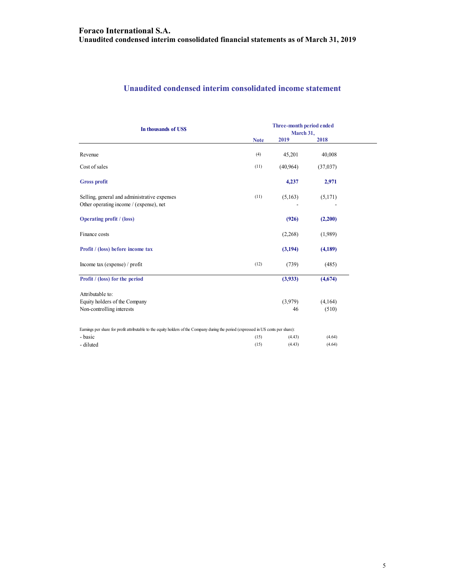## **Unaudited condensed interim consolidated income statement**

| In thousands of US\$                                                                                                                 |             | Three-month period ended<br>March 31, |          |  |
|--------------------------------------------------------------------------------------------------------------------------------------|-------------|---------------------------------------|----------|--|
|                                                                                                                                      | <b>Note</b> | 2019                                  | 2018     |  |
| Revenue                                                                                                                              | (4)         | 45,201                                | 40,008   |  |
| Cost of sales                                                                                                                        | (11)        | (40, 964)                             | (37,037) |  |
| <b>Gross profit</b>                                                                                                                  |             | 4,237                                 | 2,971    |  |
| Selling, general and administrative expenses<br>Other operating income / (expense), net                                              | (11)        | (5,163)                               | (5,171)  |  |
| <b>Operating profit</b> / (loss)                                                                                                     |             | (926)                                 | (2,200)  |  |
| Finance costs                                                                                                                        |             | (2,268)                               | (1,989)  |  |
| Profit / (loss) before income tax                                                                                                    |             | (3,194)                               | (4,189)  |  |
| Income tax (expense) / profit                                                                                                        | (12)        | (739)                                 | (485)    |  |
| Profit / (loss) for the period                                                                                                       |             | (3,933)                               | (4,674)  |  |
| Attributable to:                                                                                                                     |             |                                       |          |  |
| Equity holders of the Company                                                                                                        |             | (3,979)                               | (4,164)  |  |
| Non-controlling interests                                                                                                            |             | 46                                    | (510)    |  |
| Earnings per share for profit attributable to the equity holders of the Company during the period (expressed in US cents per share): |             |                                       |          |  |
| - basic                                                                                                                              | (15)        | (4.43)                                | (4.64)   |  |
| - diluted                                                                                                                            | (15)        | (4.43)                                | (4.64)   |  |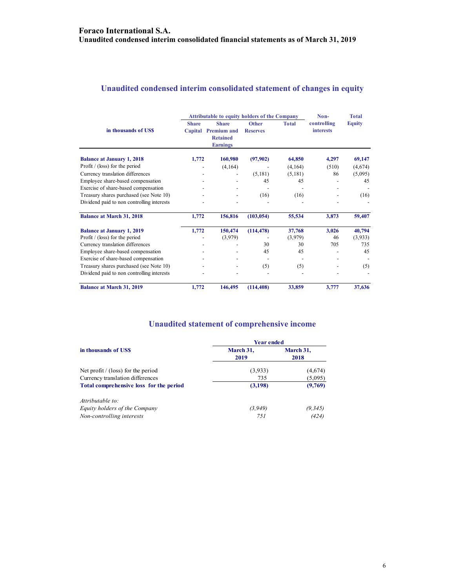## **Unaudited condensed interim consolidated statement of changes in equity**

|                                            | <b>Attributable to equity holders of the Company</b> |                    |                 |              | Non-             | <b>Total</b>  |  |
|--------------------------------------------|------------------------------------------------------|--------------------|-----------------|--------------|------------------|---------------|--|
|                                            | <b>Share</b>                                         | <b>Share</b>       | <b>Other</b>    | <b>Total</b> | controlling      | <b>Equity</b> |  |
| in thousands of US\$                       | Capital                                              | <b>Premium and</b> | <b>Reserves</b> |              | <b>interests</b> |               |  |
|                                            |                                                      | <b>Retained</b>    |                 |              |                  |               |  |
|                                            |                                                      | <b>Earnings</b>    |                 |              |                  |               |  |
| <b>Balance at January 1, 2018</b>          | 1,772                                                | 160,980            | (97,902)        | 64,850       | 4,297            | 69,147        |  |
| Profit $/$ (loss) for the period           |                                                      | (4, 164)           |                 | (4,164)      | (510)            | (4,674)       |  |
| Currency translation differences           |                                                      |                    | (5,181)         | (5,181)      | 86               | (5,095)       |  |
| Employee share-based compensation          |                                                      |                    | 45              | 45           |                  | 45            |  |
| Exercise of share-based compensation       |                                                      |                    |                 |              |                  |               |  |
| Treasury shares purchased (see Note 10)    |                                                      |                    | (16)            | (16)         |                  | (16)          |  |
| Dividend paid to non controlling interests |                                                      |                    |                 |              |                  |               |  |
| <b>Balance at March 31, 2018</b>           | 1,772                                                | 156,816            | (103, 054)      | 55,534       | 3,873            | 59,407        |  |
| <b>Balance at January 1, 2019</b>          | 1,772                                                | 150,474            | (114, 478)      | 37,768       | 3,026            | 40,794        |  |
| Profit $/$ (loss) for the period           |                                                      | (3,979)            |                 | (3,979)      | 46               | (3,933)       |  |
| Currency translation differences           |                                                      |                    | 30              | 30           | 705              | 735           |  |
| Employee share-based compensation          |                                                      |                    | 45              | 45           |                  | 45            |  |
| Exercise of share-based compensation       |                                                      |                    |                 |              |                  |               |  |
| Treasury shares purchased (see Note 10)    |                                                      |                    | (5)             | (5)          |                  | (5)           |  |
| Dividend paid to non controlling interests |                                                      |                    |                 |              |                  |               |  |
| <b>Balance at March 31, 2019</b>           | 1,772                                                | 146,495            | (114, 408)      | 33,859       | 3,777            | 37,636        |  |

## **Unaudited statement of comprehensive income**

|                                         | <b>Year ended</b> |                   |  |
|-----------------------------------------|-------------------|-------------------|--|
| in thousands of USS                     | March 31,<br>2019 | March 31,<br>2018 |  |
| Net profit $/$ (loss) for the period    | (3,933)           | (4,674)           |  |
| Currency translation differences        | 735               | (5,095)           |  |
| Total comprehensive loss for the period | (3,198)           | (9,769)           |  |
| Attributable to:                        |                   |                   |  |
| Equity holders of the Company           | (3, 949)          | (9, 345)          |  |
| Non-controlling interests               | 751               | (424)             |  |
|                                         |                   |                   |  |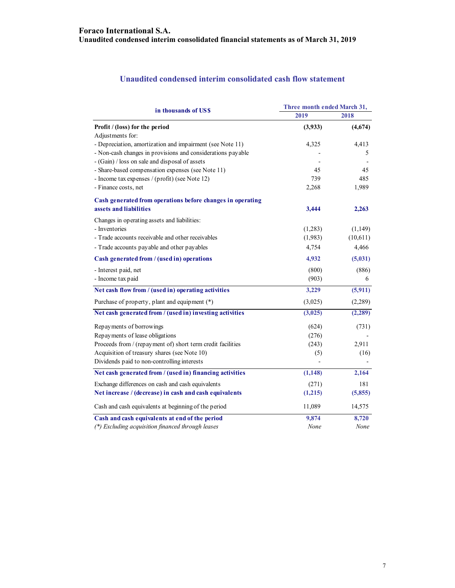## **Unaudited condensed interim consolidated cash flow statement**

| in thousands of US\$                                        | Three month ended March 31, |          |  |
|-------------------------------------------------------------|-----------------------------|----------|--|
|                                                             | 2019                        | 2018     |  |
| Profit / (loss) for the period                              | (3,933)                     | (4,674)  |  |
| Adjustments for:                                            |                             |          |  |
| - Depreciation, amortization and impairment (see Note 11)   | 4,325                       | 4,413    |  |
| - Non-cash changes in provisions and considerations payable |                             | 5        |  |
| - (Gain) / loss on sale and disposal of assets              |                             |          |  |
| - Share-based compensation expenses (see Note 11)           | 45                          | 45       |  |
| - Income tax expenses / (profit) (see Note 12)              | 739                         | 485      |  |
| - Finance costs, net                                        | 2,268                       | 1,989    |  |
| Cash generated from operations before changes in operating  |                             |          |  |
| assets and liabilities                                      | 3,444                       | 2,263    |  |
| Changes in operating assets and liabilities:                |                             |          |  |
| - Inventories                                               | (1,283)                     | (1,149)  |  |
| - Trade accounts receivable and other receivables           | (1,983)                     | (10,611) |  |
| - Trade accounts payable and other payables                 | 4,754                       | 4,466    |  |
| Cash generated from / (used in) operations                  | 4,932                       | (5,031)  |  |
| - Interest paid, net                                        | (800)                       | (886)    |  |
| - Income tax paid                                           | (903)                       | 6        |  |
| Net cash flow from / (used in) operating activities         | 3,229                       | (5, 911) |  |
| Purchase of property, plant and equipment (*)               | (3,025)                     | (2,289)  |  |
| Net cash generated from / (used in) investing activities    | (3,025)                     | (2, 289) |  |
| Repayments of borrowings                                    | (624)                       | (731)    |  |
| Repayments of lease obligations                             | (276)                       |          |  |
| Proceeds from / (repayment of) short term credit facilities | (243)                       | 2,911    |  |
| Acquisition of treasury shares (see Note 10)                | (5)                         | (16)     |  |
| Dividends paid to non-controlling interests                 |                             |          |  |
| Net cash generated from / (used in) financing activities    | (1, 148)                    | 2,164    |  |
| Exchange differences on cash and cash equivalents           | (271)                       | 181      |  |
| Net increase / (decrease) in cash and cash equivalents      | (1,215)                     | (5,855)  |  |
| Cash and cash equivalents at beginning of the period        | 11,089                      | 14,575   |  |
| Cash and cash equivalents at end of the period              | 9,874                       | 8,720    |  |
| (*) Excluding acquisition financed through leases           | None                        | None     |  |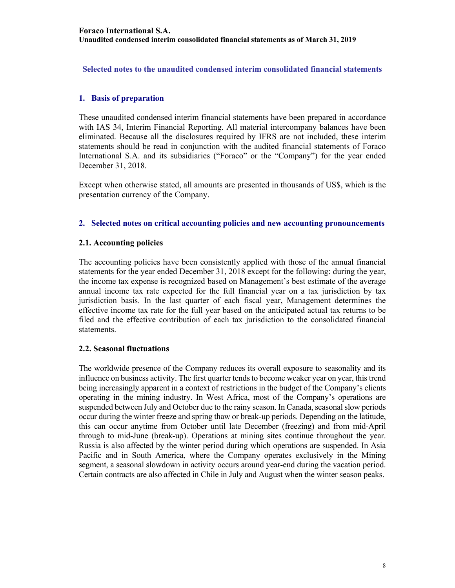**Selected notes to the unaudited condensed interim consolidated financial statements** 

## **1. Basis of preparation**

These unaudited condensed interim financial statements have been prepared in accordance with IAS 34, Interim Financial Reporting. All material intercompany balances have been eliminated. Because all the disclosures required by IFRS are not included, these interim statements should be read in conjunction with the audited financial statements of Foraco International S.A. and its subsidiaries ("Foraco" or the "Company") for the year ended December 31, 2018.

Except when otherwise stated, all amounts are presented in thousands of US\$, which is the presentation currency of the Company.

## **2. Selected notes on critical accounting policies and new accounting pronouncements**

## **2.1. Accounting policies**

The accounting policies have been consistently applied with those of the annual financial statements for the year ended December 31, 2018 except for the following: during the year, the income tax expense is recognized based on Management's best estimate of the average annual income tax rate expected for the full financial year on a tax jurisdiction by tax jurisdiction basis. In the last quarter of each fiscal year, Management determines the effective income tax rate for the full year based on the anticipated actual tax returns to be filed and the effective contribution of each tax jurisdiction to the consolidated financial statements.

### **2.2. Seasonal fluctuations**

The worldwide presence of the Company reduces its overall exposure to seasonality and its influence on business activity. The first quarter tends to become weaker year on year, this trend being increasingly apparent in a context of restrictions in the budget of the Company's clients operating in the mining industry. In West Africa, most of the Company's operations are suspended between July and October due to the rainy season. In Canada, seasonal slow periods occur during the winter freeze and spring thaw or break-up periods. Depending on the latitude, this can occur anytime from October until late December (freezing) and from mid-April through to mid-June (break-up). Operations at mining sites continue throughout the year. Russia is also affected by the winter period during which operations are suspended. In Asia Pacific and in South America, where the Company operates exclusively in the Mining segment, a seasonal slowdown in activity occurs around year-end during the vacation period. Certain contracts are also affected in Chile in July and August when the winter season peaks.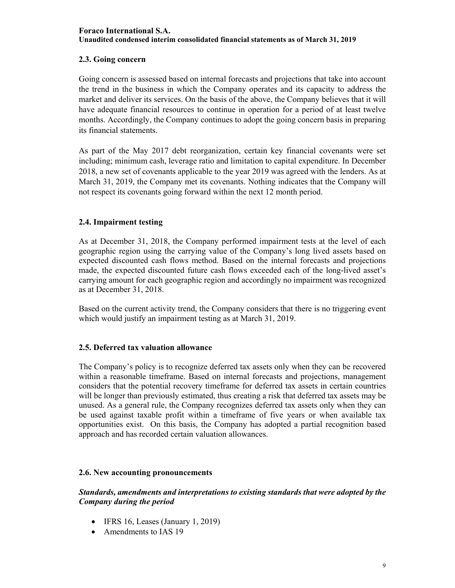## **2.3. Going concern**

Going concern is assessed based on internal forecasts and projections that take into account the trend in the business in which the Company operates and its capacity to address the market and deliver its services. On the basis of the above, the Company believes that it will have adequate financial resources to continue in operation for a period of at least twelve months. Accordingly, the Company continues to adopt the going concern basis in preparing its financial statements.

As part of the May 2017 debt reorganization, certain key financial covenants were set including; minimum cash, leverage ratio and limitation to capital expenditure. In December 2018, a new set of covenants applicable to the year 2019 was agreed with the lenders. As at March 31, 2019, the Company met its covenants. Nothing indicates that the Company will not respect its covenants going forward within the next 12 month period.

## **2.4. Impairment testing**

As at December 31, 2018, the Company performed impairment tests at the level of each geographic region using the carrying value of the Company's long lived assets based on expected discounted cash flows method. Based on the internal forecasts and projections made, the expected discounted future cash flows exceeded each of the long-lived asset's carrying amount for each geographic region and accordingly no impairment was recognized as at December 31, 2018.

Based on the current activity trend, the Company considers that there is no triggering event which would justify an impairment testing as at March 31, 2019.

## **2.5. Deferred tax valuation allowance**

The Company's policy is to recognize deferred tax assets only when they can be recovered within a reasonable timeframe. Based on internal forecasts and projections, management considers that the potential recovery timeframe for deferred tax assets in certain countries will be longer than previously estimated, thus creating a risk that deferred tax assets may be unused. As a general rule, the Company recognizes deferred tax assets only when they can be used against taxable profit within a timeframe of five years or when available tax opportunities exist. On this basis, the Company has adopted a partial recognition based approach and has recorded certain valuation allowances.

## **2.6. New accounting pronouncements**

## *Standards, amendments and interpretations to existing standards that were adopted by the Company during the period*

- IFRS 16, Leases (January 1, 2019)
- Amendments to IAS 19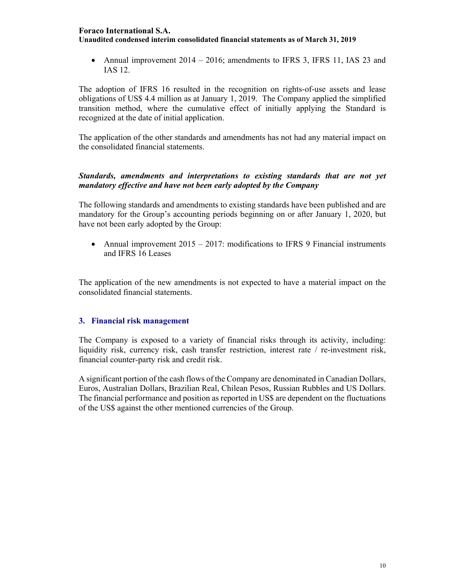• Annual improvement  $2014 - 2016$ ; amendments to IFRS 3, IFRS 11, IAS 23 and IAS 12.

The adoption of IFRS 16 resulted in the recognition on rights-of-use assets and lease obligations of US\$ 4.4 million as at January 1, 2019. The Company applied the simplified transition method, where the cumulative effect of initially applying the Standard is recognized at the date of initial application.

The application of the other standards and amendments has not had any material impact on the consolidated financial statements.

## *Standards, amendments and interpretations to existing standards that are not yet mandatory effective and have not been early adopted by the Company*

The following standards and amendments to existing standards have been published and are mandatory for the Group's accounting periods beginning on or after January 1, 2020, but have not been early adopted by the Group:

• Annual improvement  $2015 - 2017$ : modifications to IFRS 9 Financial instruments and IFRS 16 Leases

The application of the new amendments is not expected to have a material impact on the consolidated financial statements.

### **3. Financial risk management**

The Company is exposed to a variety of financial risks through its activity, including: liquidity risk, currency risk, cash transfer restriction, interest rate / re-investment risk, financial counter-party risk and credit risk.

A significant portion of the cash flows of the Company are denominated in Canadian Dollars, Euros, Australian Dollars, Brazilian Real, Chilean Pesos, Russian Rubbles and US Dollars. The financial performance and position as reported in US\$ are dependent on the fluctuations of the US\$ against the other mentioned currencies of the Group.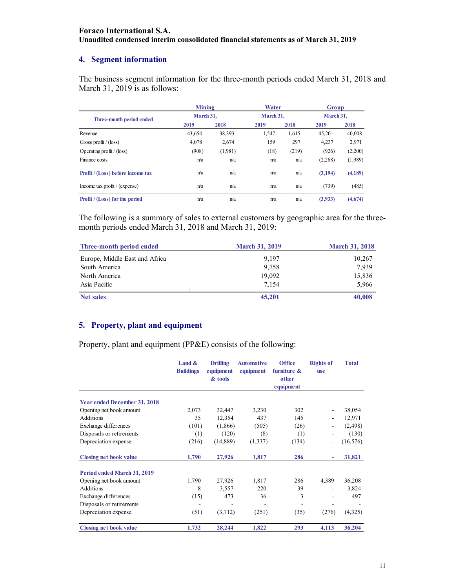## **4. Segment information**

The business segment information for the three-month periods ended March 31, 2018 and March 31, 2019 is as follows:

|                                   | <b>Mining</b> |           | Water |           | Group   |           |  |
|-----------------------------------|---------------|-----------|-------|-----------|---------|-----------|--|
| Three-month period ended          |               | March 31. |       | March 31. |         | March 31. |  |
|                                   | 2019          | 2018      | 2019  | 2018      | 2019    | 2018      |  |
| Revenue                           | 43.654        | 38.393    | 1,547 | 1,615     | 45.201  | 40,008    |  |
| Gross profit / (loss)             | 4.078         | 2,674     | 159   | 297       | 4,237   | 2,971     |  |
| Operating profit $/$ (loss)       | (908)         | (1,981)   | (18)  | (219)     | (926)   | (2,200)   |  |
| Finance costs                     | n/a           | n/a       | n/a   | n/a       | (2,268) | (1,989)   |  |
| Profit / (Loss) before income tax | n/a           | n/a       | n/a   | n/a       | (3,194) | (4,189)   |  |
| Income tax profit $/$ (expense)   | n/a           | n/a       | n/a   | n/a       | (739)   | (485)     |  |
| Profit / (Loss) for the period    | n/a           | n/a       | n/a   | n/a       | (3,933) | (4,674)   |  |

The following is a summary of sales to external customers by geographic area for the threemonth periods ended March 31, 2018 and March 31, 2019:

| Three-month period ended       | <b>March 31, 2019</b> | <b>March 31, 2018</b> |
|--------------------------------|-----------------------|-----------------------|
| Europe, Middle East and Africa | 9.197                 | 10,267                |
| South America                  | 9.758                 | 7,939                 |
| North America                  | 19,092                | 15,836                |
| Asia Pacific                   | 7.154                 | 5,966                 |
| <b>Net sales</b>               | 45,201                | 40,008                |

## **5. Property, plant and equipment**

Property, plant and equipment (PP&E) consists of the following:

|                               | Land $\&$<br><b>Buildings</b> | <b>Drilling</b><br>equipment<br>& tools | <b>Automotive</b><br>equipment | <b>Office</b><br>furniture $\&$<br>other | <b>Rights of</b><br><b>use</b> | <b>Total</b> |
|-------------------------------|-------------------------------|-----------------------------------------|--------------------------------|------------------------------------------|--------------------------------|--------------|
|                               |                               |                                         |                                | e quipment                               |                                |              |
| Year ended December 31, 2018  |                               |                                         |                                |                                          |                                |              |
| Opening net book amount       | 2,073                         | 32,447                                  | 3,230                          | 302                                      | $\overline{\phantom{a}}$       | 38,054       |
| Additions                     | 35                            | 12,354                                  | 437                            | 145                                      | ٠                              | 12,971       |
| Exchange differences          | (101)                         | (1,866)                                 | (505)                          | (26)                                     |                                | (2, 498)     |
| Disposals or retirements      | (1)                           | (120)                                   | (8)                            | (1)                                      |                                | (130)        |
| Depreciation expense          | (216)                         | (14, 889)                               | (1,337)                        | (134)                                    |                                | (16, 576)    |
| <b>Closing net book value</b> | 1,790                         | 27,926                                  | 1,817                          | 286                                      | ٠                              | 31,821       |
| Period ended March 31, 2019   |                               |                                         |                                |                                          |                                |              |
| Opening net book amount       | 1,790                         | 27,926                                  | 1,817                          | 286                                      | 4,389                          | 36,208       |
| Additions                     | 8                             | 3,557                                   | 220                            | 39                                       |                                | 3,824        |
| Exchange differences          | (15)                          | 473                                     | 36                             | 3                                        | $\qquad \qquad \blacksquare$   | 497          |
| Disposals or retirements      |                               |                                         |                                |                                          |                                |              |
| Depreciation expense          | (51)                          | (3,712)                                 | (251)                          | (35)                                     | (276)                          | (4,325)      |
| <b>Closing net book value</b> | 1,732                         | 28,244                                  | 1,822                          | 293                                      | 4,113                          | 36,204       |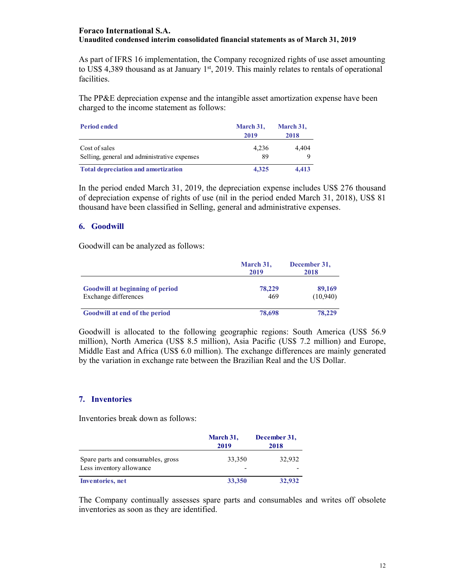As part of IFRS 16 implementation, the Company recognized rights of use asset amounting to US\$ 4,389 thousand as at January  $1<sup>st</sup>$ , 2019. This mainly relates to rentals of operational facilities.

The PP&E depreciation expense and the intangible asset amortization expense have been charged to the income statement as follows:

| <b>Period ended</b>                          | March 31,<br>2019 | March 31,<br>2018 |
|----------------------------------------------|-------------------|-------------------|
| Cost of sales                                | 4.236             | 4.404             |
| Selling, general and administrative expenses | 89                |                   |
| <b>Total depreciation and amortization</b>   | 4.325             | 4.413             |

In the period ended March 31, 2019, the depreciation expense includes US\$ 276 thousand of depreciation expense of rights of use (nil in the period ended March 31, 2018), US\$ 81 thousand have been classified in Selling, general and administrative expenses.

## **6. Goodwill**

Goodwill can be analyzed as follows:

|                                                                | March 31,<br>2019 | December 31,<br>2018 |
|----------------------------------------------------------------|-------------------|----------------------|
| <b>Goodwill at beginning of period</b><br>Exchange differences | 78,229<br>469     | 89,169<br>(10,940)   |
| <b>Goodwill at end of the period</b>                           | 78,698            | 78,229               |

Goodwill is allocated to the following geographic regions: South America (US\$ 56.9 million), North America (US\$ 8.5 million), Asia Pacific (US\$ 7.2 million) and Europe, Middle East and Africa (US\$ 6.0 million). The exchange differences are mainly generated by the variation in exchange rate between the Brazilian Real and the US Dollar.

### **7. Inventories**

Inventories break down as follows:

|                                                                | March 31,<br>2019 | December 31,<br>2018 |
|----------------------------------------------------------------|-------------------|----------------------|
| Spare parts and consumables, gross<br>Less inventory allowance | 33,350            | 32,932               |
| Inventories, net                                               | 33,350            | 32,932               |

The Company continually assesses spare parts and consumables and writes off obsolete inventories as soon as they are identified.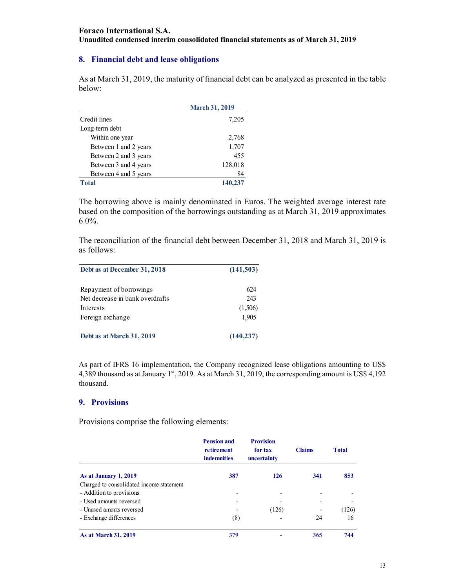## **8. Financial debt and lease obligations**

As at March 31, 2019, the maturity of financial debt can be analyzed as presented in the table below:

|                       | <b>March 31, 2019</b> |
|-----------------------|-----------------------|
| Credit lines          | 7,205                 |
| Long-term debt        |                       |
| Within one year       | 2,768                 |
| Between 1 and 2 years | 1,707                 |
| Between 2 and 3 years | 455                   |
| Between 3 and 4 years | 128,018               |
| Between 4 and 5 years | 84                    |
| <b>Total</b>          | 140,237               |

The borrowing above is mainly denominated in Euros. The weighted average interest rate based on the composition of the borrowings outstanding as at March 31, 2019 approximates 6.0%.

The reconciliation of the financial debt between December 31, 2018 and March 31, 2019 is as follows:

| Debt as at December 31, 2018    | (141,503)  |  |
|---------------------------------|------------|--|
| Repayment of borrowings         | 624        |  |
| Net decrease in bank overdrafts | 243        |  |
| Interests                       | (1,506)    |  |
| Foreign exchange                | 1.905      |  |
| Debt as at March 31, 2019       | (140, 237) |  |

As part of IFRS 16 implementation, the Company recognized lease obligations amounting to US\$ 4,389 thousand as at January  $1<sup>st</sup>$ , 2019. As at March 31, 2019, the corresponding amount is US\$ 4,192 thousand.

### **9. Provisions**

Provisions comprise the following elements:

|                                          | <b>Pension and</b><br>retirement<br><b>indemnities</b> | <b>Provision</b><br>for tax<br>uncertainty | <b>Claims</b> | <b>Total</b> |
|------------------------------------------|--------------------------------------------------------|--------------------------------------------|---------------|--------------|
| As at January 1, 2019                    | 387                                                    | 126                                        | 341           | 853          |
| Charged to consolidated income statement |                                                        |                                            |               |              |
| - Addition to provisions                 |                                                        |                                            |               |              |
| - Used amounts reversed                  |                                                        |                                            |               |              |
| - Unused amouts reversed                 |                                                        | (126)                                      |               | (126)        |
| - Exchange differences                   | (8)                                                    |                                            | 24            | 16           |
| <b>As at March 31, 2019</b>              | 379                                                    |                                            | 365           | 744          |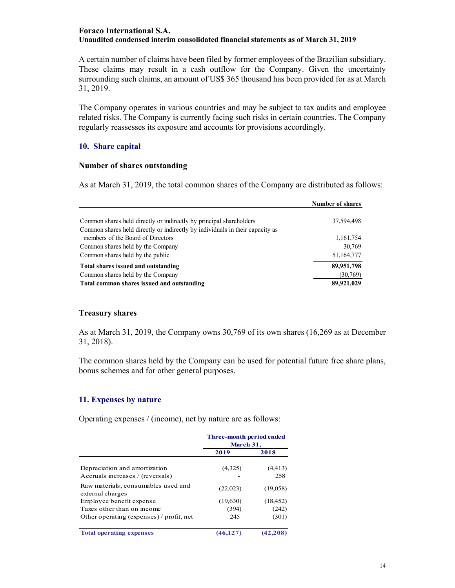A certain number of claims have been filed by former employees of the Brazilian subsidiary. These claims may result in a cash outflow for the Company. Given the uncertainty surrounding such claims, an amount of US\$ 365 thousand has been provided for as at March 31, 2019.

The Company operates in various countries and may be subject to tax audits and employee related risks. The Company is currently facing such risks in certain countries. The Company regularly reassesses its exposure and accounts for provisions accordingly.

## **10. Share capital**

### **Number of shares outstanding**

As at March 31, 2019, the total common shares of the Company are distributed as follows:

|                                                                                                                                                      | <b>Number of shares</b> |
|------------------------------------------------------------------------------------------------------------------------------------------------------|-------------------------|
| Common shares held directly or indirectly by principal shareholders<br>Common shares held directly or indirectly by individuals in their capacity as | 37,594,498              |
| members of the Board of Directors                                                                                                                    | 1,161,754               |
| Common shares held by the Company                                                                                                                    | 30,769                  |
| Common shares held by the public                                                                                                                     | 51,164,777              |
| Total shares issued and outstanding                                                                                                                  | 89,951,798              |
| Common shares held by the Company                                                                                                                    | (30,769)                |
| Total common shares issued and outstanding                                                                                                           | 89,921,029              |

### **Treasury shares**

As at March 31, 2019, the Company owns 30,769 of its own shares (16,269 as at December 31, 2018).

The common shares held by the Company can be used for potential future free share plans, bonus schemes and for other general purposes.

### **11. Expenses by nature**

Operating expenses / (income), net by nature are as follows:

|                                                                   | Three-month period ended<br>March 31, |                 |
|-------------------------------------------------------------------|---------------------------------------|-----------------|
|                                                                   | 2019                                  | 2018            |
| Depreciation and amortization<br>Accruals increases / (reversals) | (4,325)                               | (4, 413)<br>258 |
| Raw materials, consumables used and<br>external charges           | (22,023)                              | (19,058)        |
| Employee benefit expense                                          | (19,630)                              | (18, 452)       |
| Taxes other than on income                                        | (394)                                 | (242)           |
| Other operating (expenses) / profit, net                          | 245                                   | (301)           |
| <b>Total operating expenses</b>                                   | (46.127)                              | (42.208)        |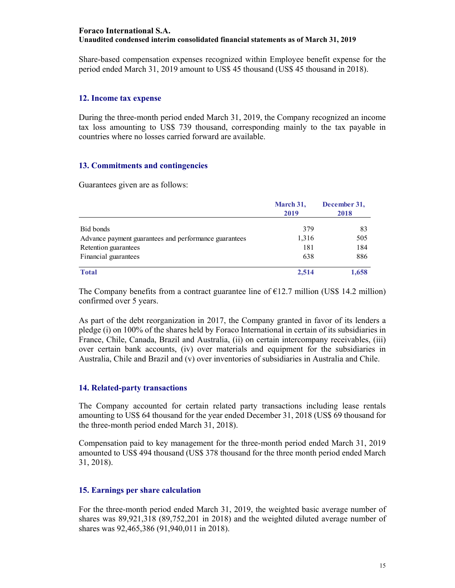Share-based compensation expenses recognized within Employee benefit expense for the period ended March 31, 2019 amount to US\$ 45 thousand (US\$ 45 thousand in 2018).

#### **12. Income tax expense**

During the three-month period ended March 31, 2019, the Company recognized an income tax loss amounting to US\$ 739 thousand, corresponding mainly to the tax payable in countries where no losses carried forward are available.

## **13. Commitments and contingencies**

Guarantees given are as follows:

|                                                       | March 31,<br>2019 | December 31,<br>2018 |
|-------------------------------------------------------|-------------------|----------------------|
|                                                       |                   |                      |
| Bid bonds                                             | 379               | 83                   |
| Advance payment guarantees and performance guarantees | 1,316             | 505                  |
| Retention guarantees                                  | 181               | 184                  |
| Financial guarantees                                  | 638               | 886                  |
| <b>Total</b>                                          | 2.514             | 1,658                |

The Company benefits from a contract guarantee line of  $E12.7$  million (US\$ 14.2 million) confirmed over 5 years.

As part of the debt reorganization in 2017, the Company granted in favor of its lenders a pledge (i) on 100% of the shares held by Foraco International in certain of its subsidiaries in France, Chile, Canada, Brazil and Australia, (ii) on certain intercompany receivables, (iii) over certain bank accounts, (iv) over materials and equipment for the subsidiaries in Australia, Chile and Brazil and (v) over inventories of subsidiaries in Australia and Chile.

### **14. Related-party transactions**

The Company accounted for certain related party transactions including lease rentals amounting to US\$ 64 thousand for the year ended December 31, 2018 (US\$ 69 thousand for the three-month period ended March 31, 2018).

Compensation paid to key management for the three-month period ended March 31, 2019 amounted to US\$ 494 thousand (US\$ 378 thousand for the three month period ended March 31, 2018).

### **15. Earnings per share calculation**

For the three-month period ended March 31, 2019, the weighted basic average number of shares was 89,921,318 (89,752,201 in 2018) and the weighted diluted average number of shares was 92,465,386 (91,940,011 in 2018).